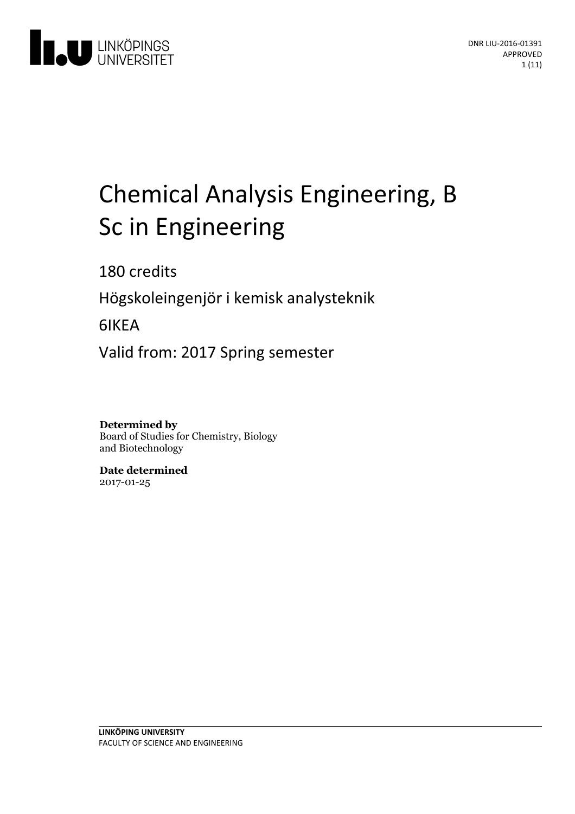

# Chemical Analysis Engineering, B Sc in Engineering

180 credits

Högskoleingenjör i kemiskanalysteknik

6IKEA

Valid from: 2017 Spring semester

**Determined by** Board of Studies for Chemistry, Biology and Biotechnology

**Date determined** 2017-01-25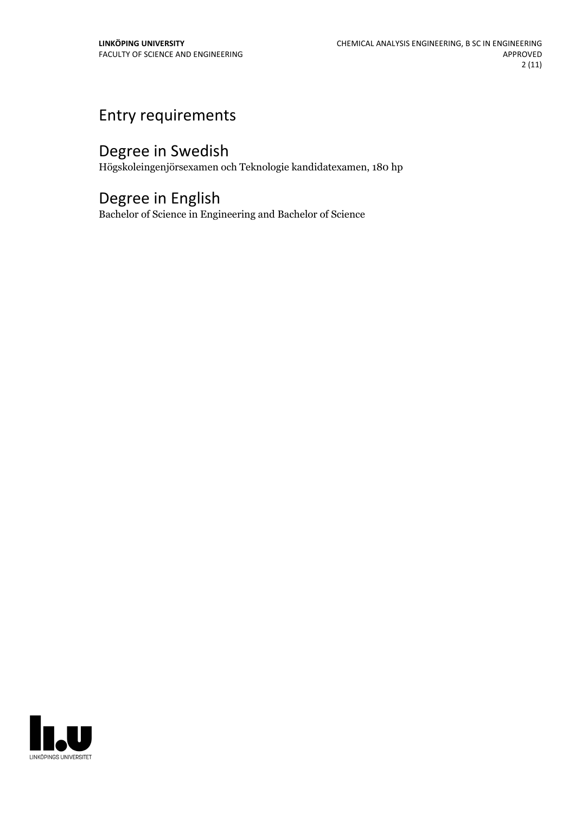# Entry requirements

# Degree in Swedish

Högskoleingenjörsexamen och Teknologie kandidatexamen, 180 hp

# Degree in English

Bachelor of Science in Engineering and Bachelor of Science

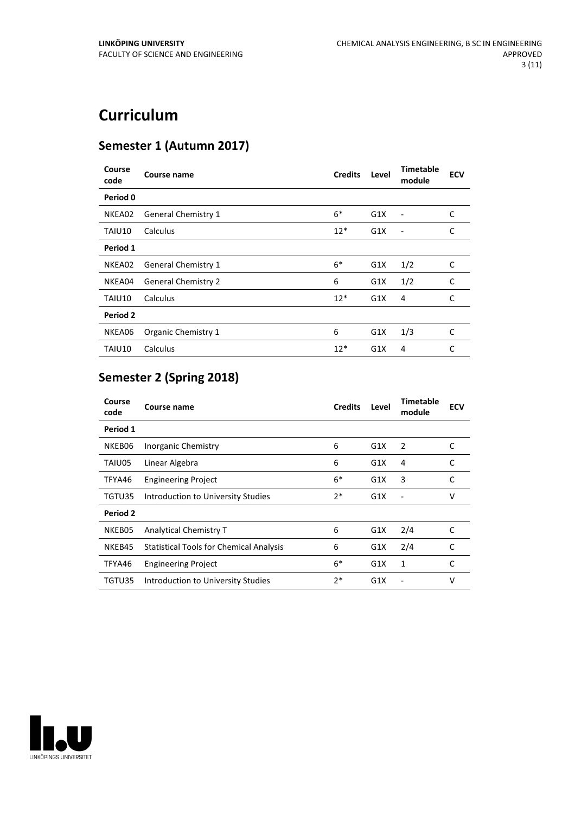# **Curriculum**

### **Semester 1 (Autumn 2017)**

| Course<br>code | Course name                | <b>Credits</b> | Level | <b>Timetable</b><br>module | <b>ECV</b> |
|----------------|----------------------------|----------------|-------|----------------------------|------------|
| Period 0       |                            |                |       |                            |            |
| NKEA02         | <b>General Chemistry 1</b> | $6*$           | G1X   | $\overline{a}$             | C          |
| TAIU10         | Calculus                   | $12*$          | G1X   | $\overline{a}$             | C          |
| Period 1       |                            |                |       |                            |            |
| NKEA02         | <b>General Chemistry 1</b> | $6*$           | G1X   | 1/2                        | C          |
| NKEA04         | <b>General Chemistry 2</b> | 6              | G1X   | 1/2                        | C          |
| TAIU10         | Calculus                   | $12*$          | G1X   | 4                          | C          |
| Period 2       |                            |                |       |                            |            |
| NKEA06         | Organic Chemistry 1        | 6              | G1X   | 1/3                        | C          |
| TAIU10         | Calculus                   | $12*$          | G1X   | 4                          | C          |

## **Semester 2 (Spring 2018)**

| Course<br>code | Course name                                    | <b>Credits</b> | Level | Timetable<br>module | <b>ECV</b> |
|----------------|------------------------------------------------|----------------|-------|---------------------|------------|
| Period 1       |                                                |                |       |                     |            |
| NKEB06         | Inorganic Chemistry                            | 6              | G1X   | 2                   | C          |
| TAIU05         | Linear Algebra                                 | 6              | G1X   | 4                   | C          |
| TFYA46         | <b>Engineering Project</b>                     | $6*$           | G1X   | 3                   | C          |
| TGTU35         | Introduction to University Studies             | $2*$           | G1X   |                     | v          |
| Period 2       |                                                |                |       |                     |            |
| NKEB05         | Analytical Chemistry T                         | 6              | G1X   | 2/4                 | C          |
| NKEB45         | <b>Statistical Tools for Chemical Analysis</b> | 6              | G1X   | 2/4                 | C          |
| TFYA46         | <b>Engineering Project</b>                     | $6*$           | G1X   | 1                   | C          |
| TGTU35         | Introduction to University Studies             | $2*$           | G1X   |                     | v          |

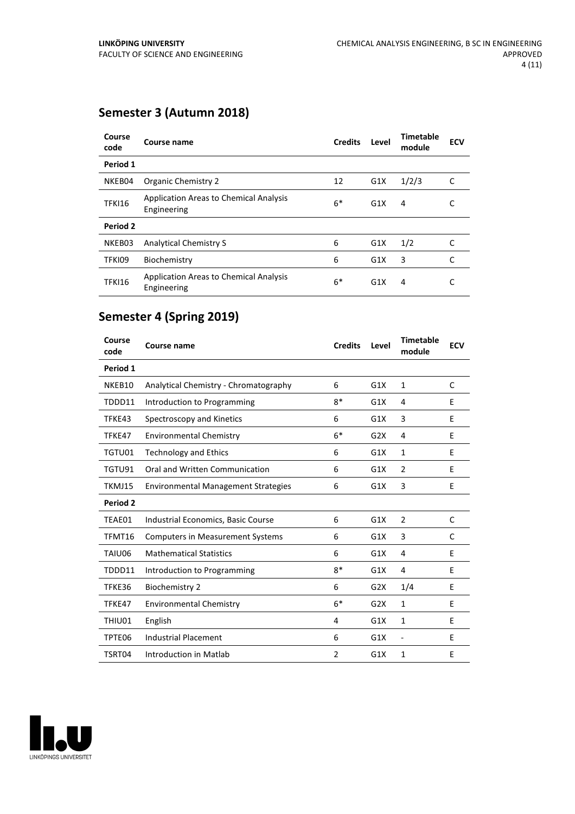### **Semester 3 (Autumn 2018)**

| Course<br>code | Course name                                                  | <b>Credits</b> | Level | <b>Timetable</b><br>module | <b>ECV</b> |
|----------------|--------------------------------------------------------------|----------------|-------|----------------------------|------------|
| Period 1       |                                                              |                |       |                            |            |
| NKEB04         | Organic Chemistry 2                                          | 12             | G1X   | 1/2/3                      | C          |
| <b>TFKI16</b>  | <b>Application Areas to Chemical Analysis</b><br>Engineering | $6*$           | G1X   | 4                          | C          |
| Period 2       |                                                              |                |       |                            |            |
| NKEB03         | Analytical Chemistry S                                       | 6              | G1X   | 1/2                        | C          |
| TFKI09         | Biochemistry                                                 | 6              | G1X   | 3                          | C          |
| <b>TFKI16</b>  | <b>Application Areas to Chemical Analysis</b><br>Engineering | $6*$           | G1X   | 4                          |            |

## **Semester 4 (Spring 2019)**

| Course<br>code | Course name                                | <b>Credits</b> | Level | <b>Timetable</b><br>module | <b>ECV</b> |
|----------------|--------------------------------------------|----------------|-------|----------------------------|------------|
| Period 1       |                                            |                |       |                            |            |
| NKEB10         | Analytical Chemistry - Chromatography      | 6              | G1X   | 1                          | C          |
| TDDD11         | Introduction to Programming                | $8*$           | G1X   | 4                          | E          |
| TFKE43         | Spectroscopy and Kinetics                  | 6              | G1X   | 3                          | E          |
| TFKE47         | <b>Environmental Chemistry</b>             | $6*$           | G2X   | 4                          | E          |
| TGTU01         | <b>Technology and Ethics</b>               | 6              | G1X   | 1                          | E          |
| TGTU91         | Oral and Written Communication             | 6              | G1X   | 2                          | E          |
| TKMJ15         | <b>Environmental Management Strategies</b> | 6              | G1X   | 3                          | E          |
| Period 2       |                                            |                |       |                            |            |
| TEAE01         | Industrial Economics, Basic Course         | 6              | G1X   | $\overline{2}$             | C          |
| TFMT16         | <b>Computers in Measurement Systems</b>    | 6              | G1X   | 3                          | C          |
| TAIU06         | <b>Mathematical Statistics</b>             | 6              | G1X   | 4                          | E          |
| TDDD11         | Introduction to Programming                | $8*$           | G1X   | 4                          | E          |
| TFKE36         | <b>Biochemistry 2</b>                      | 6              | G2X   | 1/4                        | Е          |
| TFKE47         | <b>Environmental Chemistry</b>             | $6*$           | G2X   | 1                          | E          |
| THIU01         | English                                    | 4              | G1X   | 1                          | E          |
| TPTE06         | <b>Industrial Placement</b>                | 6              | G1X   | $\overline{\phantom{a}}$   | E          |
| TSRT04         | Introduction in Matlab                     | 2              | G1X   | 1                          | E          |

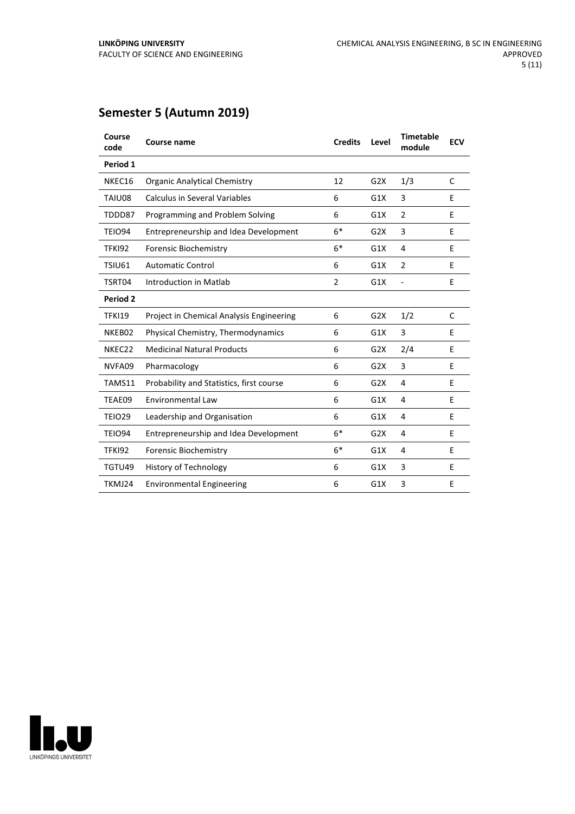## **Semester 5 (Autumn 2019)**

| Course<br>code     | <b>Course name</b>                       | <b>Credits</b> | Level | <b>Timetable</b><br>module | <b>ECV</b> |
|--------------------|------------------------------------------|----------------|-------|----------------------------|------------|
| Period 1           |                                          |                |       |                            |            |
| NKEC16             | <b>Organic Analytical Chemistry</b>      | 12             | G2X   | 1/3                        | C          |
| TAIU08             | <b>Calculus in Several Variables</b>     | 6              | G1X   | 3                          | E          |
| TDDD87             | Programming and Problem Solving          | 6              | G1X   | $\overline{2}$             | E          |
| <b>TEIO94</b>      | Entrepreneurship and Idea Development    | $6*$           | G2X   | 3                          | E          |
| <b>TFKI92</b>      | Forensic Biochemistry                    | $6*$           | G1X   | 4                          | E          |
| TSIU61             | <b>Automatic Control</b>                 | 6              | G1X   | $\overline{2}$             | E          |
| TSRT04             | Introduction in Matlab                   | $\overline{2}$ | G1X   |                            | Е          |
| Period 2           |                                          |                |       |                            |            |
| <b>TFKI19</b>      | Project in Chemical Analysis Engineering | 6              | G2X   | 1/2                        | C          |
| NKEB02             | Physical Chemistry, Thermodynamics       | 6              | G1X   | 3                          | E          |
| NKEC <sub>22</sub> | <b>Medicinal Natural Products</b>        | 6              | G2X   | 2/4                        | E          |
| NVFA09             | Pharmacology                             | 6              | G2X   | 3                          | E          |
| TAMS11             | Probability and Statistics, first course | 6              | G2X   | 4                          | E          |
| TEAE09             | <b>Environmental Law</b>                 | 6              | G1X   | 4                          | E          |
| TEIO29             | Leadership and Organisation              | 6              | G1X   | 4                          | E          |
| <b>TEIO94</b>      | Entrepreneurship and Idea Development    | $6*$           | G2X   | 4                          | E          |
| <b>TFKI92</b>      | <b>Forensic Biochemistry</b>             | $6*$           | G1X   | 4                          | E          |
| TGTU49             | <b>History of Technology</b>             | 6              | G1X   | 3                          | E          |
| TKMJ24             | <b>Environmental Engineering</b>         | 6              | G1X   | 3                          | E          |

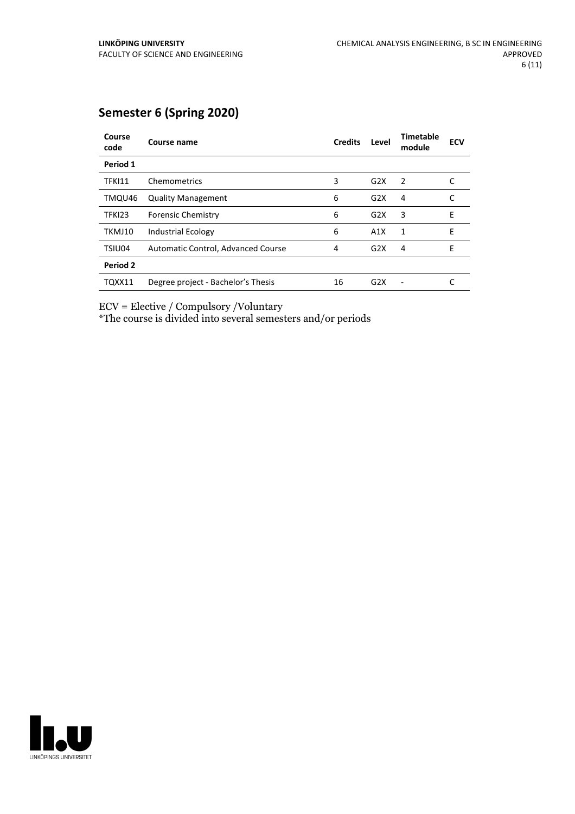### **Semester 6 (Spring 2020)**

| Course<br>code | Course name                        | <b>Credits</b> | Level            | <b>Timetable</b><br>module | <b>ECV</b> |
|----------------|------------------------------------|----------------|------------------|----------------------------|------------|
| Period 1       |                                    |                |                  |                            |            |
| <b>TFKI11</b>  | Chemometrics                       | 3              | G2X              | 2                          |            |
| TMQU46         | <b>Quality Management</b>          | 6              | G2X              | 4                          | C          |
| TFKI23         | <b>Forensic Chemistry</b>          | 6              | G2X              | 3                          | E          |
| TKMJ10         | <b>Industrial Ecology</b>          | 6              | A1X              | 1                          | E          |
| TSIU04         | Automatic Control, Advanced Course | 4              | G <sub>2</sub> X | 4                          | E          |
| Period 2       |                                    |                |                  |                            |            |
| TQXX11         | Degree project - Bachelor's Thesis | 16             | G2X              |                            |            |

ECV = Elective / Compulsory /Voluntary

\*The course is divided into several semesters and/or periods

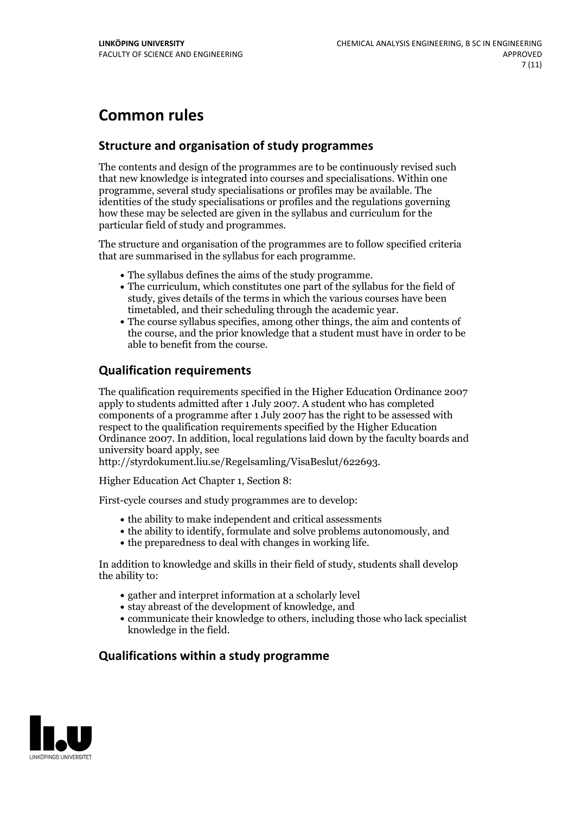# **Common rules**

#### **Structure and organisation of study programmes**

The contents and design of the programmes are to be continuously revised such that new knowledge is integrated into courses and specialisations. Within one programme, several study specialisations or profiles may be available. The identities of the study specialisations or profiles and the regulations governing how these may be selected are given in the syllabus and curriculum for the particular field of study and programmes.

The structure and organisation of the programmes are to follow specified criteria that are summarised in the syllabus for each programme.

- 
- The syllabus defines the aims of the study programme.<br>• The curriculum, which constitutes one part of the syllabus for the field of study, gives details of the terms in which the various courses have been
- The course syllabus specifies, among other things, the aim and contents of the course, and the prior knowledge that a student must have in order to be able to benefit from the course.

#### **Qualification requirements**

The qualification requirements specified in the Higher Education Ordinance 2007 apply to students admitted after 1 July 2007. A student who has completed components of a programme after 1 July 2007 has the right to be assessed with respect to the qualification requirements specified by the Higher Education Ordinance 2007. In addition, local regulations laid down by the faculty boards and university board apply, see

http://styrdokument.liu.se/Regelsamling/VisaBeslut/622693.

Higher Education Act Chapter 1, Section 8:

First-cycle courses and study programmes are to develop:

- the ability to make independent and critical assessments
- the ability to identify, formulate and solve problems autonomously, and
- the preparedness to deal with changes in working life.

In addition to knowledge and skills in their field of study, students shall develop the ability to:

- gather and interpret information at a scholarly level
- stay abreast of the development of knowledge, and
- communicate their knowledge to others, including those who lack specialist knowledge in the field.

#### **Qualifications within a study programme**

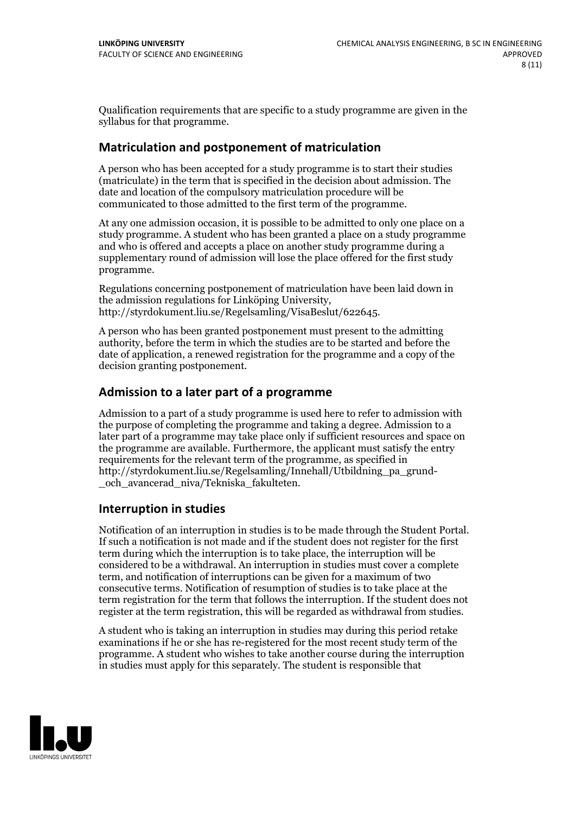Qualification requirements that are specific to a study programme are given in the syllabus for that programme.

#### **Matriculation and postponement of matriculation**

A person who has been accepted for a study programme is to start their studies (matriculate) in the term that is specified in the decision about admission. The date and location of the compulsory matriculation procedure will be communicated to those admitted to the first term of the programme.

At any one admission occasion, it is possible to be admitted to only one place on a study programme. A student who has been granted a place on a study programme and who is offered and accepts a place on another study programme during a supplementary round of admission will lose the place offered for the first study programme.

Regulations concerning postponement of matriculation have been laid down in the admission regulations for Linköping University, http://styrdokument.liu.se/Regelsamling/VisaBeslut/622645.

A person who has been granted postponement must present to the admitting authority, before the term in which the studies are to be started and before the date of application, a renewed registration for the programme and a copy of the decision granting postponement.

#### **Admission to a later part of a programme**

Admission to a part of a study programme is used here to refer to admission with the purpose of completing the programme and taking a degree. Admission to a later part of a programme may take place only if sufficient resources and space on the programme are available. Furthermore, the applicant must satisfy the entry requirements for the relevant term of the programme, as specified in http://styrdokument.liu.se/Regelsamling/Innehall/Utbildning\_pa\_grund- \_och\_avancerad\_niva/Tekniska\_fakulteten.

#### **Interruption in studies**

Notification of an interruption in studies is to be made through the Student Portal. If such <sup>a</sup> notification is not made and if the student does not register for the first term during which the interruption is to take place, the interruption will be considered to be a withdrawal. An interruption in studies must cover a complete term, and notification of interruptions can be given for a maximum of two consecutive terms. Notification of resumption of studies is to take place at the term registration for the term that follows the interruption. If the student does not register at the term registration, this will be regarded as withdrawal from studies.

A student who is taking an interruption in studies may during this period retake examinations if he or she has re-registered for the most recent study term of the programme. A student who wishes to take another course during the interruption in studies must apply for this separately. The student is responsible that

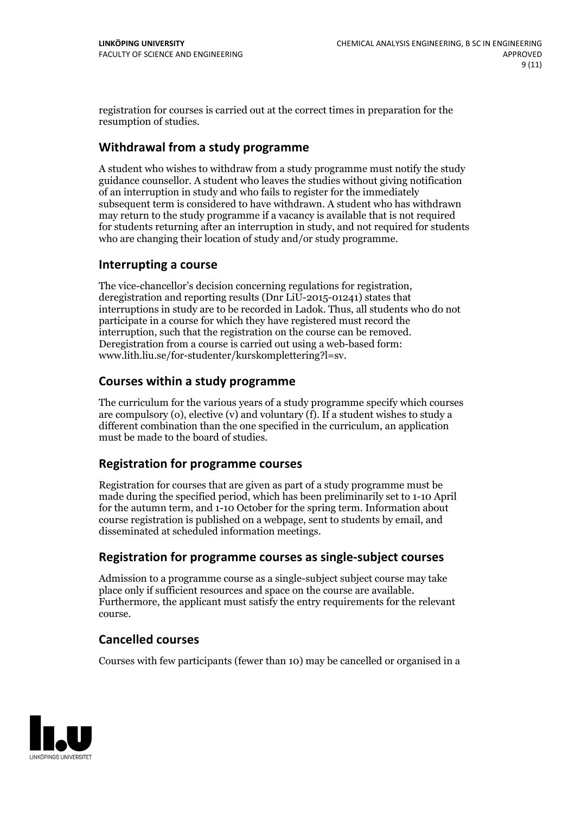registration for courses is carried outat the correct times in preparation for the resumption of studies.

#### **Withdrawal from a study programme**

A student who wishes to withdraw from a study programme must notify the study guidance counsellor. A student who leaves the studies without giving notification of an interruption in study and who fails to register for the immediately subsequent term is considered to have withdrawn. A student who has withdrawn may return to the study programme if a vacancy is available that is not required for students returning after an interruption in study, and not required for students who are changing their location of study and/or study programme.

#### **Interrupting a course**

The vice-chancellor's decision concerning regulations for registration, deregistration and reporting results (Dnr LiU-2015-01241) states that interruptions in study are to be recorded in Ladok. Thus, all students who do not participate in a course for which they have registered must record the interruption, such that the registration on the course can be removed. Deregistration from <sup>a</sup> course is carried outusing <sup>a</sup> web-based form: www.lith.liu.se/for-studenter/kurskomplettering?l=sv.

#### **Courses within a study programme**

The curriculum for the various years of a study programme specify which courses are compulsory (o), elective (v) and voluntary (f). If a student wishes to study a different combination than the one specified in the curriculum, an application must be made to the board of studies.

#### **Registration for programme courses**

Registration for courses that are given as part of a study programme must be made during the specified period, which has been preliminarily set to 1-10 April for the autumn term, and 1-10 October for the spring term. Information about course registration is published on a webpage, sent to students by email, and disseminated at scheduled information meetings.

#### **Registration for programme courses as single-subject courses**

Admission to a programme course as a single-subject subject course may take place only if sufficient resources and space on the course are available. Furthermore, the applicant must satisfy the entry requirements for the relevant course.

#### **Cancelled courses**

Courses with few participants (fewer than 10) may be cancelled or organised in a

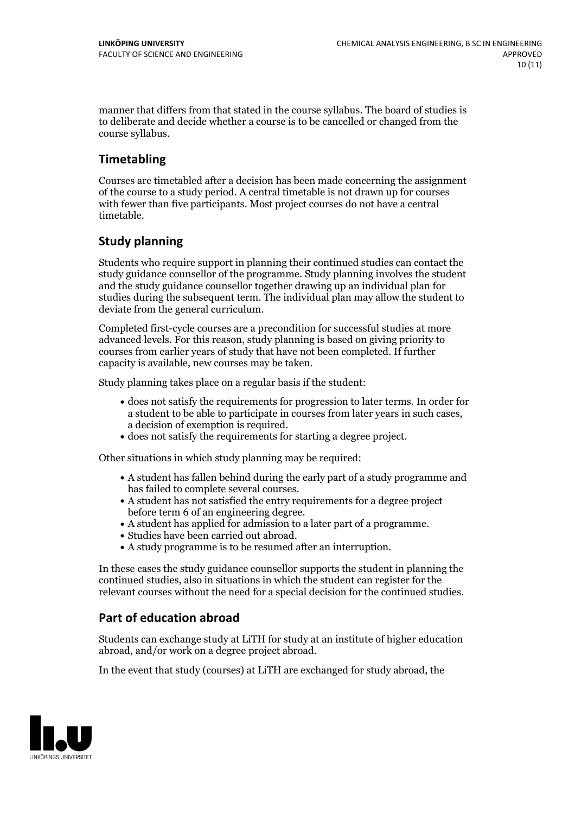manner that differs from that stated in the course syllabus. The board of studies is to deliberate and decide whether a course is to be cancelled orchanged from the course syllabus.

#### **Timetabling**

Courses are timetabled after a decision has been made concerning the assignment of the course to a study period. A central timetable is not drawn up for courses with fewer than five participants. Most project courses do not have a central timetable.

#### **Study planning**

Students who require support in planning their continued studies can contact the study guidance counsellor of the programme. Study planning involves the student and the study guidance counsellor together drawing up an individual plan for studies during the subsequent term. The individual plan may allow the student to deviate from the general curriculum.

Completed first-cycle courses are a precondition for successful studies at more advanced levels. For this reason, study planning is based on giving priority to courses from earlier years of study that have not been completed. If further capacity is available, new courses may be taken.

Study planning takes place on a regular basis if the student:

- does not satisfy the requirements for progression to later terms. In order for a student to be able to participate in courses from later years in such cases, a decision of exemption is required.<br>
• does not satisfy the requirements for starting a degree project.
- 

Other situations in which study planning may be required:

- A student has fallen behind during the early part of a study programme and
- has failed to complete several courses.<br>• A student has not satisfied the entry requirements for a degree project
- before term 6 of an engineering degree.<br>
 A student has applied for admission to a later part of a programme.<br>
 Studies have been carried out abroad.<br>
 A study programme is to be resumed after an interruption.
- 
- 

In these cases the study guidance counsellor supports the student in planning the continued studies, also in situations in which the student can register for the relevant courses without the need for a special decision for the continued studies.

#### **Part of education abroad**

Students can exchange study at LiTH for study at an institute of higher education abroad, and/or work on a degree project abroad.

In the event that study (courses) at LiTH are exchanged for study abroad, the